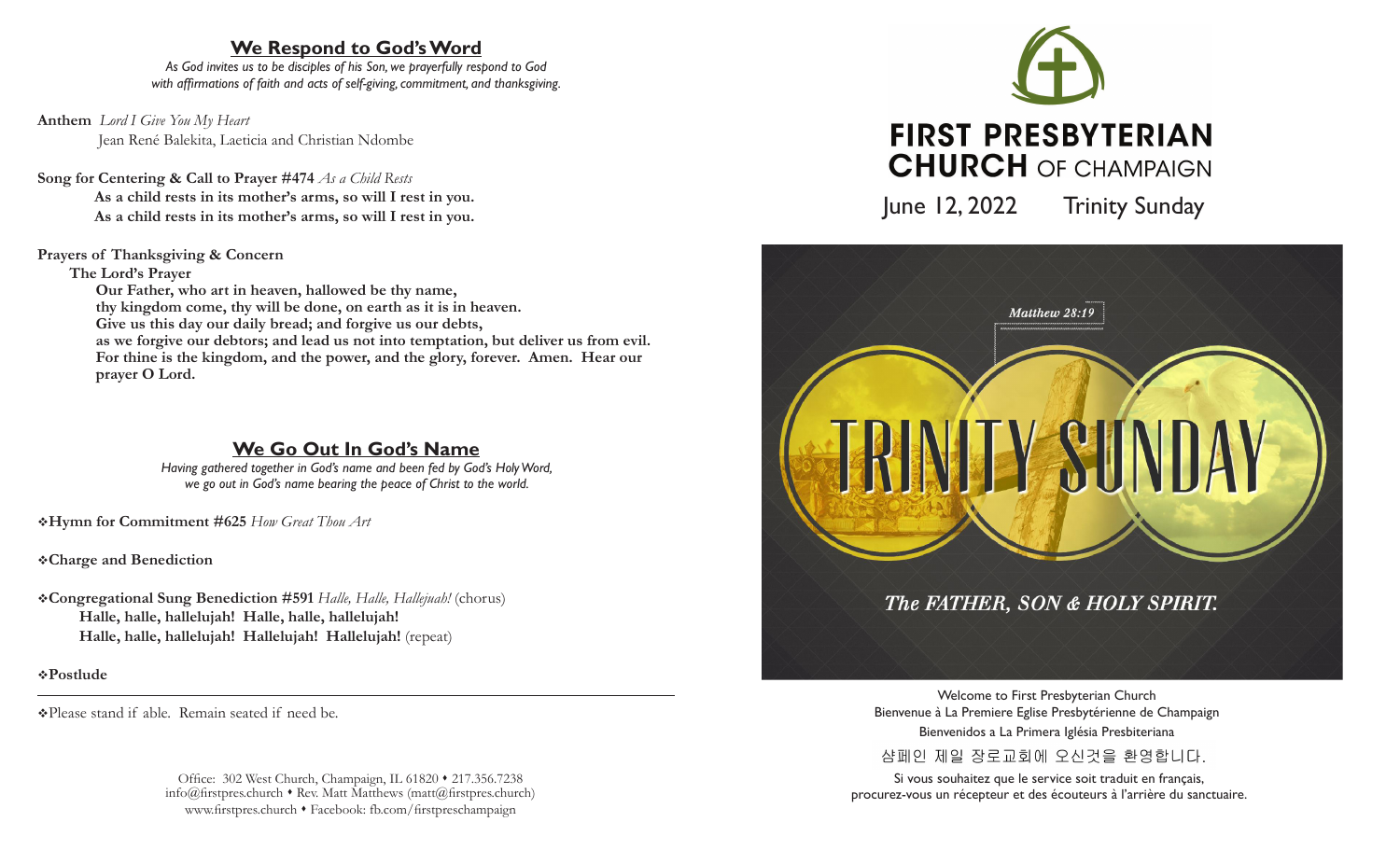# **We Respond to God's Word**

*As God invites us to be disciples of his Son, we prayerfully respond to God with affirmations of faith and acts of self-giving, commitment, and thanksgiving.*

**Anthem** *Lord I Give You My Heart* Jean René Balekita, Laeticia and Christian Ndombe

# **Song for Centering & Call to Prayer #474** *As a Child Rests*

**As a child rests in its mother's arms, so will I rest in you. As a child rests in its mother's arms, so will I rest in you.**

### **Prayers of Thanksgiving & Concern**

**The Lord's Prayer**

 **Our Father, who art in heaven, hallowed be thy name, thy kingdom come, thy will be done, on earth as it is in heaven. Give us this day our daily bread; and forgive us our debts, as we forgive our debtors; and lead us not into temptation, but deliver us from evil. For thine is the kingdom, and the power, and the glory, forever. Amen. Hear our prayer O Lord.**

# **We Go Out In God's Name**

*Having gathered together in God's name and been fed by God's Holy Word, we go out in God's name bearing the peace of Christ to the world.*

v**Hymn for Commitment #625** *How Great Thou Art*

v**Charge and Benediction**

v**Congregational Sung Benediction #591** *Halle, Halle, Hallejuah!* (chorus) **Halle, halle, hallelujah! Halle, halle, hallelujah! Halle, halle, hallelujah! Hallelujah! Hallelujah!** (repeat)

v**Postlude** 

vPlease stand if able. Remain seated if need be.

Office: 302 West Church, Champaign, IL 61820 • 217.356.7238  $info@firstpreschurch * Rev. Matt Matthews (matt@firstpreschurch)$ www.firstpres.church • Facebook: fb.com/firstpreschampaign



June 12, 2022 Trinity Sunday



Welcome to First Presbyterian Church Bienvenue à La Premiere Eglise Presbytérienne de Champaign Bienvenidos a La Primera Iglésia Presbiteriana 샴페인 제일 장로교회에 오신것을 환영합니다.

Si vous souhaitez que le service soit traduit en français, procurez-vous un récepteur et des écouteurs à l'arrière du sanctuaire.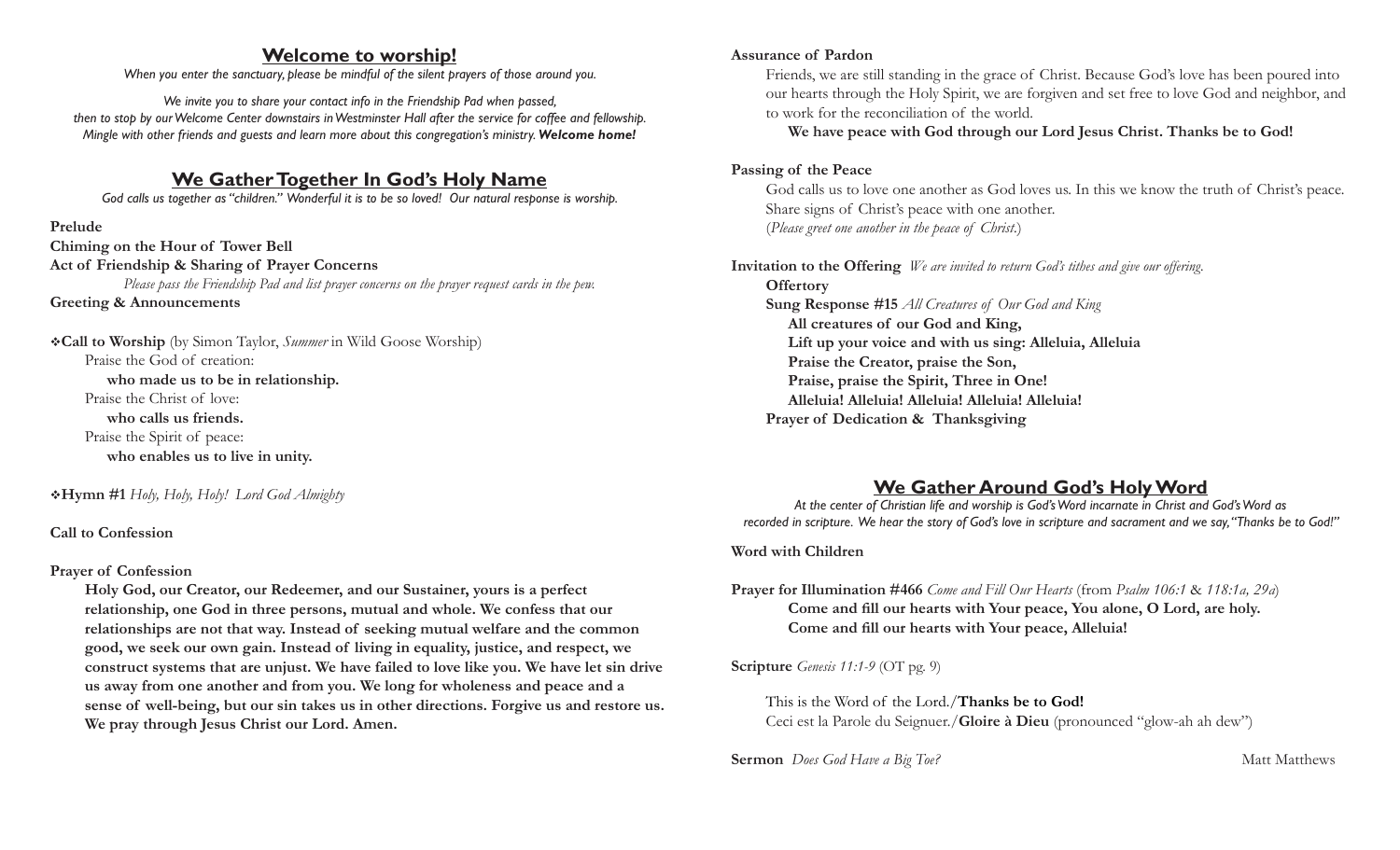# **Welcome to worship!**

*When you enter the sanctuary, please be mindful of the silent prayers of those around you.*

*We invite you to share your contact info in the Friendship Pad when passed, then to stop by our Welcome Center downstairs in Westminster Hall after the service for coffee and fellowship. Mingle with other friends and guests and learn more about this congregation's ministry. Welcome home!*

# **We Gather Together In God's Holy Name**

*God calls us together as "children." Wonderful it is to be so loved! Our natural response is worship.*

#### **Prelude**

**Chiming on the Hour of Tower Bell Act of Friendship & Sharing of Prayer Concerns** *Please pass the Friendship Pad and list prayer concerns on the prayer request cards in the pew.* **Greeting & Announcements**

v**Call to Worship** (by Simon Taylor, *Summer* in Wild Goose Worship) Praise the God of creation:  **who made us to be in relationship.**  Praise the Christ of love:  **who calls us friends.**  Praise the Spirit of peace:  **who enables us to live in unity.** 

v**Hymn #1** *Holy, Holy, Holy! Lord God Almighty*

**Call to Confession**

### **Prayer of Confession**

**Holy God, our Creator, our Redeemer, and our Sustainer, yours is a perfect relationship, one God in three persons, mutual and whole. We confess that our relationships are not that way. Instead of seeking mutual welfare and the common good, we seek our own gain. Instead of living in equality, justice, and respect, we construct systems that are unjust. We have failed to love like you. We have let sin drive us away from one another and from you. We long for wholeness and peace and a sense of well-being, but our sin takes us in other directions. Forgive us and restore us. We pray through Jesus Christ our Lord. Amen.** 

#### **Assurance of Pardon**

Friends, we are still standing in the grace of Christ. Because God's love has been poured into our hearts through the Holy Spirit, we are forgiven and set free to love God and neighbor, and to work for the reconciliation of the world.

### **We have peace with God through our Lord Jesus Christ. Thanks be to God!**

### **Passing of the Peace**

God calls us to love one another as God loves us. In this we know the truth of Christ's peace. Share signs of Christ's peace with one another. (*Please greet one another in the peace of Christ.*)

**Invitation to the Offering** *We are invited to return God's tithes and give our offering.* **Offertory Sung Response #15** *All Creatures of Our God and King* **All creatures of our God and King, Lift up your voice and with us sing: Alleluia, Alleluia Praise the Creator, praise the Son, Praise, praise the Spirit, Three in One! Alleluia! Alleluia! Alleluia! Alleluia! Alleluia! Prayer of Dedication & Thanksgiving** 

# **We Gather Around God's Holy Word**

*At the center of Christian life and worship is God's Word incarnate in Christ and God's Word as recorded in scripture. We hear the story of God's love in scripture and sacrament and we say, "Thanks be to God!"*

### **Word with Children**

**Prayer for Illumination #466** *Come and Fill Our Hearts* (from *Psalm 106:1* & *118:1a, 29a*) **Come and fill our hearts with Your peace, You alone, O Lord, are holy. Come and fill our hearts with Your peace, Alleluia!** 

**Scripture** *Genesis 11:1-9* (OT pg. 9)

This is the Word of the Lord./**Thanks be to God!** Ceci est la Parole du Seignuer./**Gloire à Dieu** (pronounced "glow-ah ah dew")

**Sermon** *Does God Have a Big Toe?* Matt Matthews